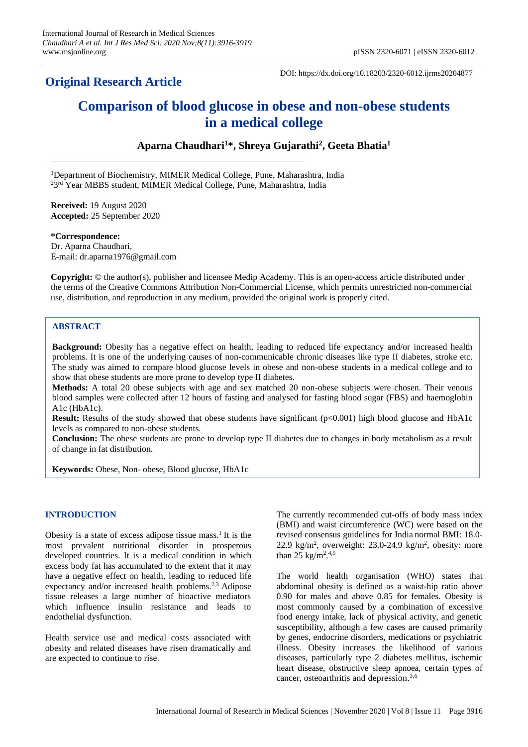## **Original Research Article**

DOI: https://dx.doi.org/10.18203/2320-6012.ijrms20204877

# **Comparison of blood glucose in obese and non-obese students in a medical college**

**Aparna Chaudhari<sup>1</sup>\*, Shreya Gujarathi<sup>2</sup> , Geeta Bhatia<sup>1</sup>**

<sup>1</sup>Department of Biochemistry, MIMER Medical College, Pune, Maharashtra, India <sup>2</sup>3<sup>rd</sup> Year MBBS student, MIMER Medical College, Pune, Maharashtra, India

**Received:** 19 August 2020 **Accepted:** 25 September 2020

**\*Correspondence:** Dr. Aparna Chaudhari, E-mail: dr.aparna1976@gmail.com

**Copyright:** © the author(s), publisher and licensee Medip Academy. This is an open-access article distributed under the terms of the Creative Commons Attribution Non-Commercial License, which permits unrestricted non-commercial use, distribution, and reproduction in any medium, provided the original work is properly cited.

## **ABSTRACT**

**Background:** Obesity has a negative effect on health, leading to reduced life expectancy and/or increased health problems. It is one of the underlying causes of non-communicable chronic diseases like type II diabetes, stroke etc. The study was aimed to compare blood glucose levels in obese and non-obese students in a medical college and to show that obese students are more prone to develop type II diabetes.

**Methods:** A total 20 obese subjects with age and sex matched 20 non-obese subjects were chosen. Their venous blood samples were collected after 12 hours of fasting and analysed for fasting blood sugar (FBS) and haemoglobin A1c (HbA1c).

**Result:** Results of the study showed that obese students have significant (p<0.001) high blood glucose and HbA1c levels as compared to non-obese students.

**Conclusion:** The obese students are prone to develop type II diabetes due to changes in body metabolism as a result of change in fat distribution.

**Keywords:** Obese, Non- obese, Blood glucose, HbA1c

## **INTRODUCTION**

Obesity is a state of excess adipose tissue mass.<sup>1</sup> It is the most prevalent nutritional disorder in prosperous developed countries. It is a medical condition in which excess body fat has accumulated to the extent that it may have a negative effect on health, leading to reduced life expectancy and/or increased health problems.<sup>2,3</sup> Adipose tissue releases a large number of bioactive mediators which influence insulin resistance and leads to endothelial dysfunction.

Health service use and medical costs associated with obesity and related diseases have risen dramatically and are expected to continue to rise.

The currently recommended cut-offs of body mass index (BMI) and waist circumference (WC) were based on the revised consensus guidelines for India normal BMI: 18.0- 22.9 kg/m<sup>2</sup> , overweight: 23.0-24.9 kg/m<sup>2</sup> , obesity: more than 25 kg/m<sup>2</sup>.<sup>4,5</sup>

The world health organisation (WHO) states that abdominal obesity is defined as a waist-hip ratio above 0.90 for males and above 0.85 for females. Obesity is most commonly caused by a combination of excessive food energy intake, lack of physical activity, and genetic susceptibility, although a few cases are caused primarily by genes, endocrine disorders, medications or [psychiatric](http://en.wikipedia.org/wiki/Psychiatric_illness)  [illness.](http://en.wikipedia.org/wiki/Psychiatric_illness) Obesity increases the likelihood of various diseases, particularly type 2 diabetes mellitus, ischemic heart disease, obstructive sleep apnoea, certain types of cancer, osteoarthritis and depression.<sup>3,6</sup>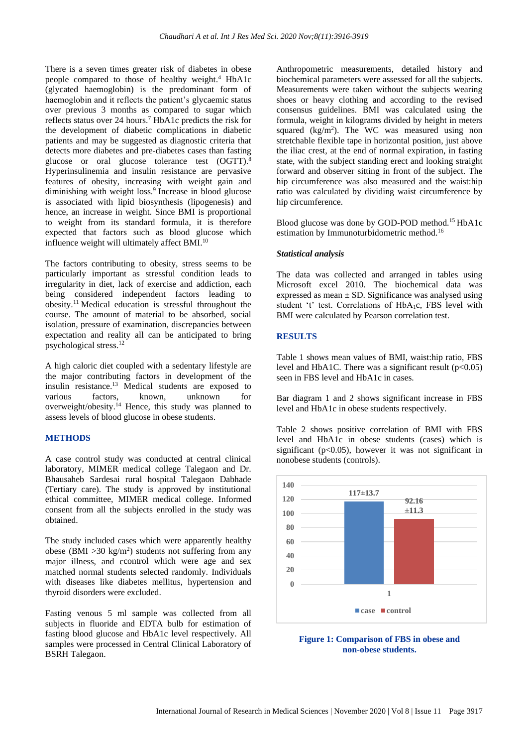There is a seven times greater risk of diabetes in obese people compared to those of healthy weight. <sup>4</sup> HbA1c (glycated haemoglobin) is the predominant form of haemoglobin and it reflects the patient's glycaemic status over previous 3 months as compared to sugar which reflects status over 24 hours. <sup>7</sup> HbA1c predicts the risk for the development of diabetic complications in diabetic patients and may be suggested as diagnostic criteria that detects more diabetes and pre-diabetes cases than fasting glucose or oral glucose tolerance test (OGTT).<sup>8</sup> Hyperinsulinemia and insulin resistance are pervasive features of obesity, increasing with weight gain and diminishing with weight loss. 9 Increase in blood glucose is associated with lipid biosynthesis (lipogenesis) and hence, an increase in weight. Since BMI is proportional to weight from its standard formula, it is therefore expected that factors such as blood glucose which influence weight will ultimately affect BMI. 10

The factors contributing to obesity, stress seems to be particularly important as stressful condition leads to irregularity in diet, lack of exercise and addiction, each being considered independent factors leading to obesity.<sup>11</sup> Medical education is stressful throughout the course. The amount of material to be absorbed, social isolation, pressure of examination, discrepancies between expectation and reality all can be anticipated to bring psychological stress. 12

A high caloric diet coupled with a sedentary lifestyle are the major contributing factors in development of the insulin resistance. <sup>13</sup> Medical students are exposed to various factors, known, unknown for overweight/obesity. <sup>14</sup> Hence, this study was planned to assess levels of blood glucose in obese students.

#### **METHODS**

A case control study was conducted at central clinical laboratory, MIMER medical college Talegaon and Dr. Bhausaheb Sardesai rural hospital Talegaon Dabhade (Tertiary care). The study is approved by institutional ethical committee, MIMER medical college. Informed consent from all the subjects enrolled in the study was obtained.

The study included cases which were apparently healthy obese (BMI  $>30 \text{ kg/m}^2$ ) students not suffering from any major illness, and ccontrol which were age and sex matched normal students selected randomly. Individuals with diseases like diabetes mellitus, hypertension and thyroid disorders were excluded.

Fasting venous 5 ml sample was collected from all subjects in fluoride and EDTA bulb for estimation of fasting blood glucose and HbA1c level respectively. All samples were processed in Central Clinical Laboratory of BSRH Talegaon.

Anthropometric measurements, detailed history and biochemical parameters were assessed for all the subjects. Measurements were taken without the subjects wearing shoes or heavy clothing and according to the revised consensus guidelines. BMI was calculated using the formula, weight in kilograms divided by height in meters squared  $(kg/m<sup>2</sup>)$ . The WC was measured using non stretchable flexible tape in horizontal position, just above the iliac crest, at the end of normal expiration, in fasting state, with the subject standing erect and looking straight forward and observer sitting in front of the subject. The hip circumference was also measured and the waist:hip ratio was calculated by dividing waist circumference by hip circumference.

Blood glucose was done by GOD-POD method.<sup>15</sup> HbA1c estimation by Immunoturbidometric method.<sup>16</sup>

#### *Statistical analysis*

The data was collected and arranged in tables using Microsoft excel 2010. The biochemical data was expressed as mean  $\pm$  SD. Significance was analysed using student 't' test. Correlations of HbA1c, FBS level with BMI were calculated by Pearson correlation test.

## **RESULTS**

Table 1 shows mean values of BMI, waist:hip ratio, FBS level and HbA1C. There was a significant result  $(p<0.05)$ seen in FBS level and HbA1c in cases.

Bar diagram 1 and 2 shows significant increase in FBS level and HbA1c in obese students respectively.

Table 2 shows positive correlation of BMI with FBS level and HbA1c in obese students (cases) which is significant ( $p<0.05$ ), however it was not significant in nonobese students (controls).



**Figure 1: Comparison of FBS in obese and non-obese students.**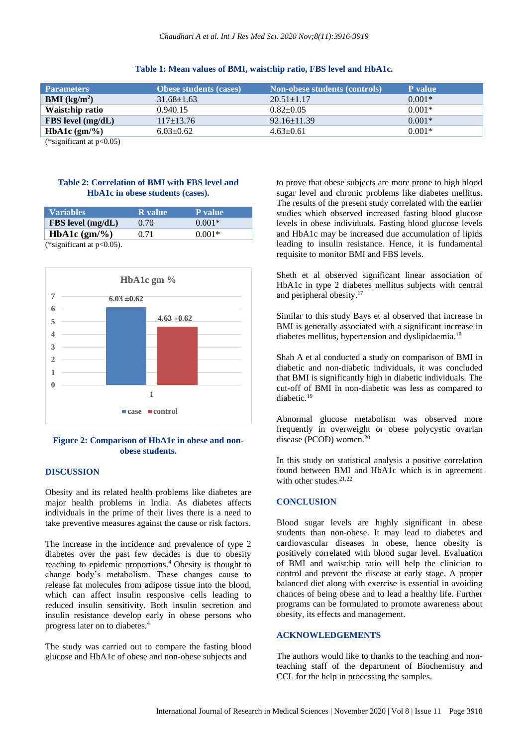| <b>Parameters</b>      | <b>Obese students (cases)</b> | <b>Non-obese students (controls)</b> | P value  |
|------------------------|-------------------------------|--------------------------------------|----------|
| <b>BMI</b> ( $kg/m2$ ) | $31.68 \pm 1.63$              | $20.51 \pm 1.17$                     | $0.001*$ |
| Waist:hip ratio        | 0.940.15                      | $0.82 \pm 0.05$                      | $0.001*$ |
| $FBS$ level $(mg/dL)$  | $117+13.76$                   | $92.16 \pm 11.39$                    | $0.001*$ |
| HbA1c $(gm/\%)$        | $6.03 \pm 0.62$               | $4.63 \pm 0.61$                      | $0.001*$ |

#### **Table 1: Mean values of BMI, waist:hip ratio, FBS level and HbA1c.**

(\*significant at p<0.05)

### **Table 2: Correlation of BMI with FBS level and HbA1c in obese students (cases).**

| <b>Variables</b>             | <b>R</b> value | P value  |  |
|------------------------------|----------------|----------|--|
| $FBS$ level $(mg/dL)$        | 0.70           | $0.001*$ |  |
| HbA1c $(gm/\%)$              | 0.71           | $0.001*$ |  |
| (*significant at $p<0.05$ ). |                |          |  |



## **Figure 2: Comparison of HbA1c in obese and nonobese students.**

#### **DISCUSSION**

Obesity and its related health problems like diabetes are major health problems in India. As diabetes affects individuals in the prime of their lives there is a need to take preventive measures against the cause or risk factors.

The increase in the incidence and prevalence of type 2 diabetes over the past few decades is due to obesity reaching to epidemic proportions. <sup>4</sup> Obesity is thought to change body's metabolism. These changes cause to release fat molecules from adipose tissue into the blood, which can affect insulin responsive cells leading to reduced insulin sensitivity. Both insulin secretion and insulin resistance develop early in obese persons who progress later on to diabetes. 4

The study was carried out to compare the fasting blood glucose and HbA1c of obese and non-obese subjects and

to prove that obese subjects are more prone to high blood sugar level and chronic problems like diabetes mellitus. The results of the present study correlated with the earlier studies which observed increased fasting blood glucose levels in obese individuals. Fasting blood glucose levels and HbA1c may be increased due accumulation of lipids leading to insulin resistance. Hence, it is fundamental requisite to monitor BMI and FBS levels.

Sheth et al observed significant linear association of HbA1c in type 2 diabetes mellitus subjects with central and peripheral obesity. 17

Similar to this study Bays et al observed that increase in BMI is generally associated with a significant increase in diabetes mellitus, hypertension and dyslipidaemia. 18

Shah A et al conducted a study on comparison of BMI in diabetic and non-diabetic individuals, it was concluded that BMI is significantly high in diabetic individuals. The cut-off of BMI in non-diabetic was less as compared to diabetic. 19

Abnormal glucose metabolism was observed more frequently in overweight or obese polycystic ovarian disease (PCOD) women. 20

In this study on statistical analysis a positive correlation found between BMI and HbA1c which is in agreement with other studes. 21,22

#### **CONCLUSION**

Blood sugar levels are highly significant in obese students than non-obese. It may lead to diabetes and cardiovascular diseases in obese, hence obesity is positively correlated with blood sugar level. Evaluation of BMI and waist:hip ratio will help the clinician to control and prevent the disease at early stage. A proper balanced diet along with exercise is essential in avoiding chances of being obese and to lead a healthy life. Further programs can be formulated to promote awareness about obesity, its effects and management.

## **ACKNOWLEDGEMENTS**

The authors would like to thanks to the teaching and nonteaching staff of the department of Biochemistry and CCL for the help in processing the samples.